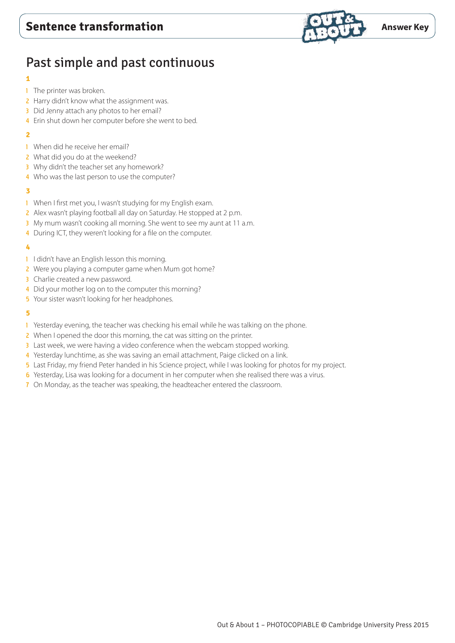

# Past simple and past continuous

#### **1**

- 1 The printer was broken.
- 2 Harry didn't know what the assignment was.
- 3 Did Jenny attach any photos to her email?
- 4 Erin shut down her computer before she went to bed.

#### **2**

- 1 When did he receive her email?
- 2 What did you do at the weekend?
- 3 Why didn't the teacher set any homework?
- 4 Who was the last person to use the computer?

#### **3**

- 1 When I first met you, I wasn't studying for my English exam.
- 2 Alex wasn't playing football all day on Saturday. He stopped at 2 p.m.
- 3 My mum wasn't cooking all morning. She went to see my aunt at 11 a.m.
- 4 During ICT, they weren't looking for a file on the computer.

#### **4**

- 1 I didn't have an English lesson this morning.
- 2 Were you playing a computer game when Mum got home?
- 3 Charlie created a new password.
- 4 Did your mother log on to the computer this morning?
- 5 Your sister wasn't looking for her headphones.

- 1 Yesterday evening, the teacher was checking his email while he was talking on the phone.
- 2 When I opened the door this morning, the cat was sitting on the printer.
- 3 Last week, we were having a video conference when the webcam stopped working.
- 4 Yesterday lunchtime, as she was saving an email attachment, Paige clicked on a link.
- 5 Last Friday, my friend Peter handed in his Science project, while I was looking for photos for my project.
- 6 Yesterday, Lisa was looking for a document in her computer when she realised there was a virus.
- 7 On Monday, as the teacher was speaking, the headteacher entered the classroom.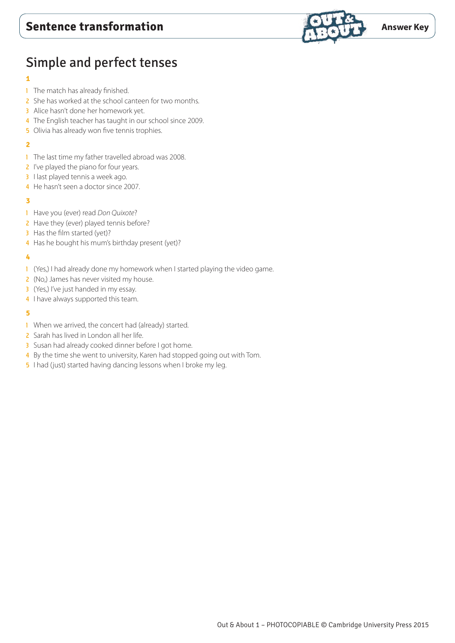

# Simple and perfect tenses

#### **1**

- **1** The match has already finished.
- 2 She has worked at the school canteen for two months.
- 3 Alice hasn't done her homework yet.
- 4 The English teacher has taught in our school since 2009.
- **5** Olivia has already won five tennis trophies.

#### **2**

- 1 The last time my father travelled abroad was 2008.
- 2 I've played the piano for four years.
- 3 I last played tennis a week ago.
- 4 He hasn't seen a doctor since 2007.

#### **3**

- 1 Have you (ever) read *Don Quixote*?
- 2 Have they (ever) played tennis before?
- 3 Has the film started (yet)?
- 4 Has he bought his mum's birthday present (yet)?

#### **4**

- 1 (Yes,) I had already done my homework when I started playing the video game.
- 2 (No,) James has never visited my house.
- 3 (Yes,) I've just handed in my essay.
- 4 I have always supported this team.

- 1 When we arrived, the concert had (already) started.
- 2 Sarah has lived in London all her life.
- 3 Susan had already cooked dinner before I got home.
- 4 By the time she went to university, Karen had stopped going out with Tom.
- 5 I had (just) started having dancing lessons when I broke my leg.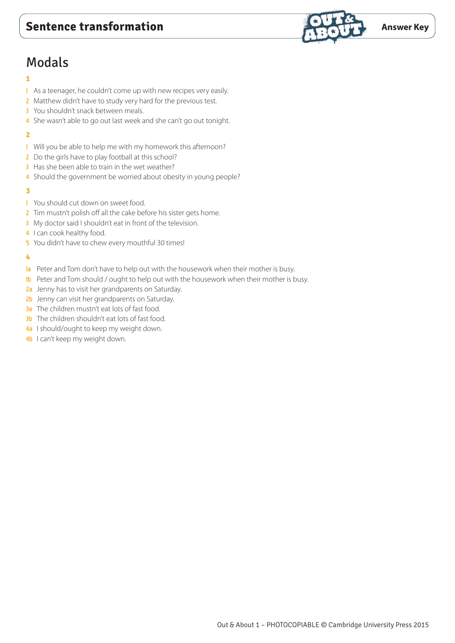### **Sentence transformation Answer Key**



### Modals

#### **1**

- 1 As a teenager, he couldn't come up with new recipes very easily.
- 2 Matthew didn't have to study very hard for the previous test.
- 3 You shouldn't snack between meals.
- 4 She wasn't able to go out last week and she can't go out tonight.

#### **2**

- 1 Will you be able to help me with my homework this afternoon?
- 2 Do the girls have to play football at this school?
- 3 Has she been able to train in the wet weather?
- 4 Should the government be worried about obesity in young people?

#### **3**

- 1 You should cut down on sweet food.
- 2 Tim mustn't polish off all the cake before his sister gets home.
- 3 My doctor said I shouldn't eat in front of the television.
- 4 I can cook healthy food.
- 5 You didn't have to chew every mouthful 30 times!

- 1a Peter and Tom don't have to help out with the housework when their mother is busy.
- 1b Peter and Tom should / ought to help out with the housework when their mother is busy.
- 2a Jenny has to visit her grandparents on Saturday.
- 2b Jenny can visit her grandparents on Saturday.
- 3a The children mustn't eat lots of fast food.
- **3b** The children shouldn't eat lots of fast food.
- 4a I should/ought to keep my weight down.
- 4b I can't keep my weight down.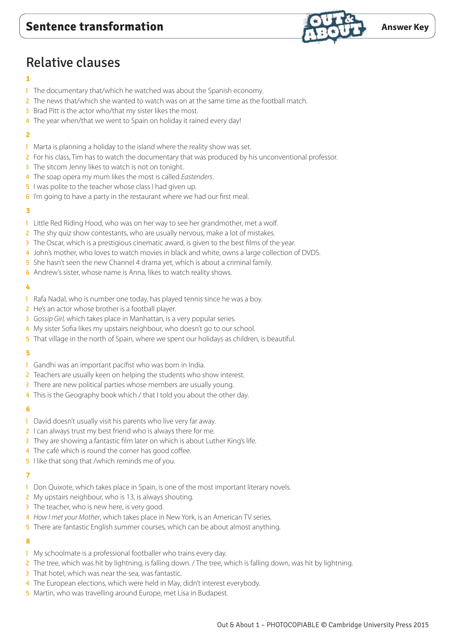

### Relative clauses

#### **1**

- 1 The documentary that/which he watched was about the Spanish economy.
- 2 The news that/which she wanted to watch was on at the same time as the football match.
- 3 Brad Pitt is the actor who/that my sister likes the most.
- 4 The year when/that we went to Spain on holiday it rained every day!

#### **2**

- 1 Marta is planning a holiday to the island where the reality show was set.
- 2 For his class, Tim has to watch the documentary that was produced by his unconventional professor.
- The sitcom Jenny likes to watch is not on tonight.
- 4 The soap opera my mum likes the most is called *Eastenders*.
- 5 I was polite to the teacher whose class I had given up.
- 6 I'm going to have a party in the restaurant where we had our first meal.

#### **3**

- 1 Little Red Riding Hood, who was on her way to see her grandmother, met a wolf.
- 2 The shy quiz show contestants, who are usually nervous, make a lot of mistakes.
- 3 The Oscar, which is a prestigious cinematic award, is given to the best films of the year.
- 4 John's mother, who loves to watch movies in black and white, owns a large collection of DVDS.
- 5 She hasn't seen the new Channel 4 drama yet, which is about a criminal family.
- **6** Andrew's sister, whose name is Anna, likes to watch reality shows.

#### **4**

- 1 Rafa Nadal, who is number one today, has played tennis since he was a boy.
- 2 He's an actor whose brother is a football player.
- 3 *Gossip Girl,* which takes place in Manhattan*,* is a very popular series.
- 4 My sister Sofia likes my upstairs neighbour, who doesn't go to our school.
- 5 That village in the north of Spain, where we spent our holidays as children, is beautiful.

#### **5**

- 1 Gandhi was an important pacifist who was born in India.
- 2 Teachers are usually keen on helping the students who show interest.
- There are new political parties whose members are usually young.
- 4 This is the Geography book which / that I told you about the other day.

#### **6**

- 1 David doesn't usually visit his parents who live very far away.
- 2 I can always trust my best friend who is always there for me.
- 3 They are showing a fantastic film later on which is about Luther King's life.
- 4 The café which is round the corner has good coffee.
- 5 I like that song that /which reminds me of you.

#### **7**

- 1 Don Quixote, which takes place in Spain, is one of the most important literary novels.
- 2 My upstairs neighbour, who is 13, is always shouting.
- 3 The teacher, who is new here, is very good.
- 4 *How I met your Mother*, which takes place in New York, is an American TV series.
- 5 There are fantastic English summer courses, which can be about almost anything.

- 1 My schoolmate is a professional footballer who trains every day.
- 2 The tree, which was hit by lightning, is falling down. / The tree, which is falling down, was hit by lightning.
- 3 That hotel, which was near the sea, was fantastic.
- 4 The European elections, which were held in May, didn't interest everybody.
- 5 Martin, who was travelling around Europe, met Lisa in Budapest.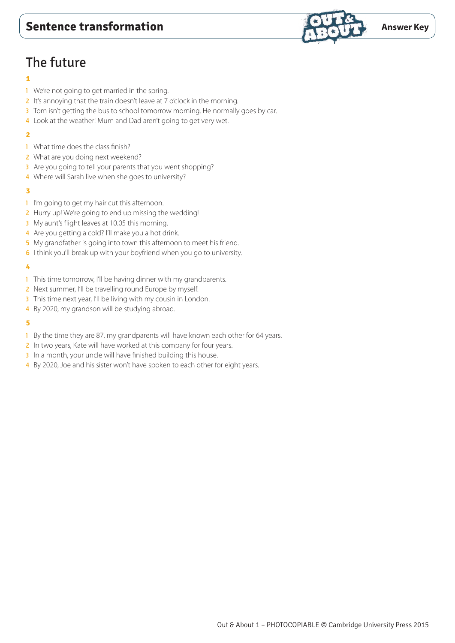### **Sentence transformation Answer Key**



# The future

#### **1**

- 1 We're not going to get married in the spring.
- 2 It's annoying that the train doesn't leave at 7 o'clock in the morning.
- 3 Tom isn't getting the bus to school tomorrow morning. He normally goes by car.
- 4 Look at the weather! Mum and Dad aren't going to get very wet.

#### **2**

- 1 What time does the class finish?
- 2 What are you doing next weekend?
- 3 Are you going to tell your parents that you went shopping?
- 4 Where will Sarah live when she goes to university?

#### **3**

- 1 I'm going to get my hair cut this afternoon.
- 2 Hurry up! We're going to end up missing the wedding!
- 3 My aunt's flight leaves at 10.05 this morning.
- 4 Are you getting a cold? I'll make you a hot drink.
- 5 My grandfather is going into town this afternoon to meet his friend.
- 6 I think you'll break up with your boyfriend when you go to university.

#### **4**

- 1 This time tomorrow, I'll be having dinner with my grandparents.
- 2 Next summer, I'll be travelling round Europe by myself.
- 3 This time next year, I'll be living with my cousin in London.
- 4 By 2020, my grandson will be studying abroad.

- 1 By the time they are 87, my grandparents will have known each other for 64 years.
- 2 In two years, Kate will have worked at this company for four years.
- 3 In a month, your uncle will have finished building this house.
- 4 By 2020, Joe and his sister won't have spoken to each other for eight years.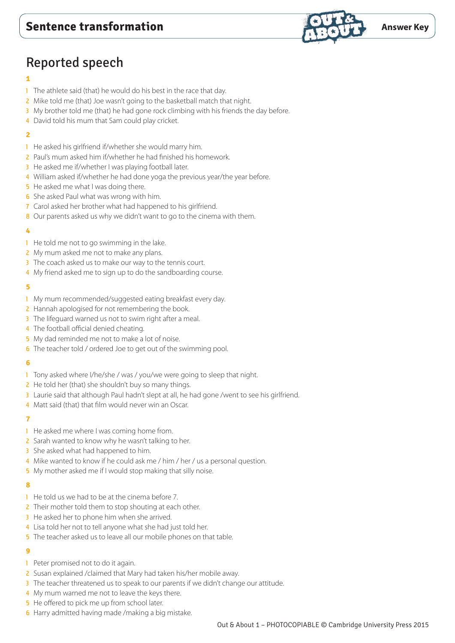

# Reported speech

#### **1**

- 1 The athlete said (that) he would do his best in the race that day.
- 2 Mike told me (that) Joe wasn't going to the basketball match that night.
- 3 My brother told me (that) he had gone rock climbing with his friends the day before.
- 4 David told his mum that Sam could play cricket.

#### **2**

- 1 He asked his girlfriend if/whether she would marry him.
- 2 Paul's mum asked him if/whether he had finished his homework.
- 3 He asked me if/whether I was playing football later.
- 4 William asked if/whether he had done yoga the previous year/the year before.
- 5 He asked me what I was doing there.
- **6** She asked Paul what was wrong with him.
- 7 Carol asked her brother what had happened to his girlfriend.
- 8 Our parents asked us why we didn't want to go to the cinema with them.

#### **4**

- **1** He told me not to go swimming in the lake.
- 2 My mum asked me not to make any plans.
- 3 The coach asked us to make our way to the tennis court.
- 4 My friend asked me to sign up to do the sandboarding course.

#### **5**

- 1 My mum recommended/suggested eating breakfast every day.
- 2 Hannah apologised for not remembering the book.
- 3 The lifeguard warned us not to swim right after a meal.
- 4 The football official denied cheating.
- 5 My dad reminded me not to make a lot of noise.
- 6 The teacher told / ordered Joe to get out of the swimming pool.

#### **6**

- 1 Tony asked where I/he/she / was / you/we were going to sleep that night.
- 2 He told her (that) she shouldn't buy so many things.
- 3 Laurie said that although Paul hadn't slept at all, he had gone /went to see his girlfriend.
- 4 Matt said (that) that film would never win an Oscar.

#### **7**

- **1** He asked me where I was coming home from.
- 2 Sarah wanted to know why he wasn't talking to her.
- 3 She asked what had happened to him.
- 4 Mike wanted to know if he could ask me / him / her / us a personal question.
- 5 My mother asked me if I would stop making that silly noise.

#### **8**

- 1 He told us we had to be at the cinema before 7.
- 2 Their mother told them to stop shouting at each other.
- 3 He asked her to phone him when she arrived.
- 4 Lisa told her not to tell anyone what she had just told her.
- 5 The teacher asked us to leave all our mobile phones on that table.

- 1 Peter promised not to do it again.
- 2 Susan explained / claimed that Mary had taken his/her mobile away.
- 3 The teacher threatened us to speak to our parents if we didn't change our attitude.
- 4 My mum warned me not to leave the keys there.
- 5 He offered to pick me up from school later.
- 6 Harry admitted having made /making a big mistake.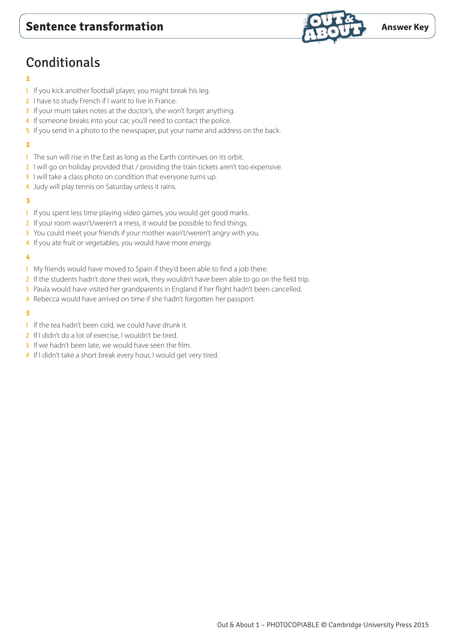# **Conditionals**

### **1**

- 1 If you kick another football player, you might break his leg.
- 2 I have to study French if I want to live in France.
- 3 If your mum takes notes at the doctor's, she won't forget anything.
- 4 If someone breaks into your car, you'll need to contact the police.
- 5 If you send in a photo to the newspaper, put your name and address on the back.

### **2**

- 1 The sun will rise in the East as long as the Earth continues on its orbit.
- 2 I will go on holiday provided that / providing the train tickets aren't too expensive.
- 3 I will take a class photo on condition that everyone turns up.
- 4 Judy will play tennis on Saturday unless it rains.

#### **3**

- 1 If you spent less time playing video games, you would get good marks.
- 2 If your room wasn't/weren't a mess, it would be possible to find things.
- 3 You could meet your friends if your mother wasn't/weren't angry with you.
- 4 If you ate fruit or vegetables, you would have more energy.

#### **4**

- 1 My friends would have moved to Spain if they'd been able to find a job there.
- 2 If the students hadn't done their work, they wouldn't have been able to go on the field trip.
- 3 Paula would have visited her grandparents in England if her flight hadn't been cancelled.
- 4 Rebecca would have arrived on time if she hadn't forgotten her passport.

- 1 If the tea hadn't been cold, we could have drunk it.
- 2 If I didn't do a lot of exercise. I wouldn't be tired.
- 3 If we hadn't been late, we would have seen the film.
- 4 If I didn't take a short break every hour, I would get very tired.